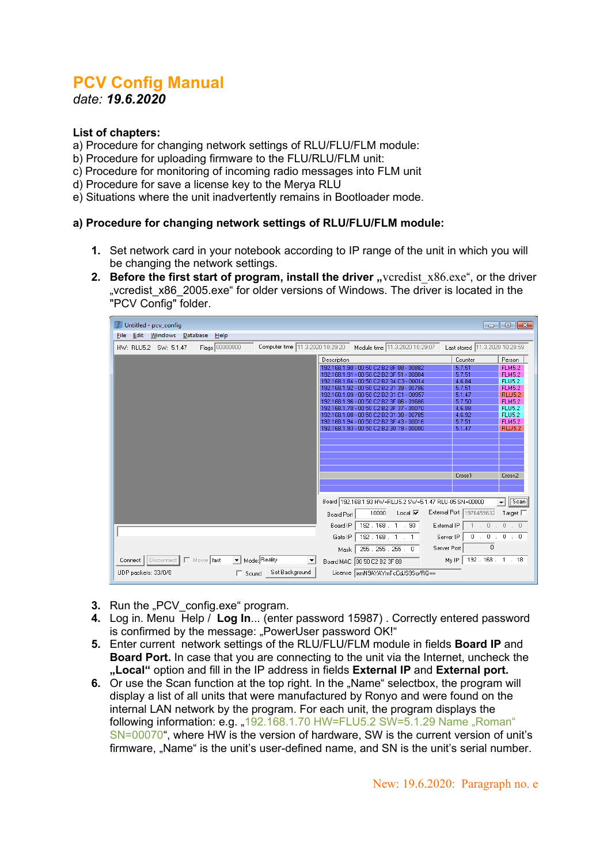## **PCV Config Manual**

*date: 19.6.2020*

### **List of chapters:**

a) Procedure for changing network settings of RLU/FLU/FLM module:

- b) Procedure for uploading firmware to the FLU/RLU/FLM unit:
- c) Procedure for monitoring of incoming radio messages into FLM unit
- d) Procedure for save a license key to the Merya RLU
- e) Situations where the unit inadvertently remains in Bootloader mode.

#### **a) Procedure for changing network settings of RLU/FLU/FLM module:**

- **1.** Set network card in your notebook according to IP range of the unit in which you will be changing the network settings.
- **2. Before the first start of program, install the driver** "vcredist x86.exe", or the driver "vcredist\_x86\_2005.exe" for older versions of Windows. The driver is located in the "PCV Config" folder.

| Untitled - pcv_config                                                          |                                                                                      | $\begin{array}{c c c c c c} \hline \multicolumn{3}{c }{\mathbf{C}} & \multicolumn{3}{c }{\mathbf{C}} & \multicolumn{3}{c }{\mathbf{X}} \multicolumn{3}{c }{\mathbf{A}} \end{array}$ |                                |
|--------------------------------------------------------------------------------|--------------------------------------------------------------------------------------|-------------------------------------------------------------------------------------------------------------------------------------------------------------------------------------|--------------------------------|
| Edit Windows Database<br>Help<br>File                                          |                                                                                      |                                                                                                                                                                                     |                                |
| Computer time 11.3.2020 10:29:20<br>Flags 00000000<br>HW: RLU5.2 SW: 5.1.47    | Module time 11.3.2020 10:29:07                                                       | Last stored 11.3.2020 10:28:59                                                                                                                                                      |                                |
|                                                                                | Description                                                                          | Counter<br>Person                                                                                                                                                                   |                                |
|                                                                                | 192.168.1.90 - 00 50 C2 B2 8F 08 - 00882                                             | 5.7.51                                                                                                                                                                              | <b>FLM5.2</b>                  |
|                                                                                | 192.168.1.91 - 00 50 C2 B2 3F 51 - 00884                                             | 5.7.51                                                                                                                                                                              | <b>FLM5.2</b>                  |
|                                                                                | 192.168.1.84 - 00 50 C2 B2 34 C3 - 00014                                             | 4.6.84                                                                                                                                                                              | <b>FLU5.2</b>                  |
|                                                                                | 192.168.1.92 - 00 50 C2 B2 31 39 - 00786<br>192.168.1.89 - 00 50 C2 B2 31 C1 - 00957 | 5.7.51<br>5.1.47                                                                                                                                                                    | <b>FLM5.2</b><br><b>RLU5.2</b> |
|                                                                                | 192.168.1.96 - 00 50 C2 B2 3F 06 - 01686                                             | 5.7.50                                                                                                                                                                              | <b>FLM5.2</b>                  |
|                                                                                | 192.168.1.70 - 00 50 C2 B2 3F 37 - 00070                                             | 4.6.88                                                                                                                                                                              | <b>FLU5.2</b>                  |
|                                                                                | 192.168.1.88 - 00 50 C2 B2 31 38 - 00785                                             | 4.6.92                                                                                                                                                                              | <b>FLU5.2</b>                  |
|                                                                                | 192.168.1.94 - 00 50 C2 B2 3F 43 - 00016                                             | 5.7.51                                                                                                                                                                              | <b>FLM5.2</b>                  |
|                                                                                | 192.168.1.93 - 00 50 C2 B2 30 19 - 00000                                             | 5.1.47                                                                                                                                                                              | <b>RLU5.2</b>                  |
|                                                                                |                                                                                      |                                                                                                                                                                                     |                                |
|                                                                                |                                                                                      |                                                                                                                                                                                     |                                |
|                                                                                |                                                                                      |                                                                                                                                                                                     |                                |
|                                                                                |                                                                                      |                                                                                                                                                                                     |                                |
|                                                                                |                                                                                      |                                                                                                                                                                                     |                                |
|                                                                                |                                                                                      | Cross2<br>Cross1                                                                                                                                                                    |                                |
|                                                                                |                                                                                      |                                                                                                                                                                                     |                                |
|                                                                                |                                                                                      |                                                                                                                                                                                     |                                |
|                                                                                | Board   192.168.1.93 HW=RLU5.2 SW=5.1.47 RLU-05 SN=00000                             | $\overline{\phantom{a}}$                                                                                                                                                            | $5$ can]                       |
|                                                                                | External Port<br>10000<br>Local $\nabla$<br>Board Port                               | 1976459632                                                                                                                                                                          | $T$ arget                      |
|                                                                                | 192.168.1.93<br>External IP<br>Board IP                                              | $\mathbb O$                                                                                                                                                                         | 0.0                            |
|                                                                                | 192.168.1.1<br>Server IP<br>Gate IP                                                  | $\mathbf 0$<br>$0$ .                                                                                                                                                                |                                |
|                                                                                | Server Port<br>255.255.255.0<br>Mask                                                 | 0                                                                                                                                                                                   |                                |
| Movie fast<br>Mode: Reality<br>Disconnect<br>Connect  <br>$\blacktriangledown$ | My IP<br>Board MAC 00 50 C2 B2 3F 88                                                 | 192.168.1.18                                                                                                                                                                        |                                |
| Set Background<br>UDP packets: 33/0/0<br>$\Box$ Sound                          | License   ixmN9AYAYmTcCdJS9So/RQ==                                                   |                                                                                                                                                                                     |                                |

- **3.** Run the "PCV config.exe" program.
- **4.** Log in. Menu Help / **Log In**... (enter password 15987) . Correctly entered password is confirmed by the message: "PowerUser password OK!"
- **5.** Enter current network settings of the RLU/FLU/FLM module in fields **Board IP** and **Board Port.** In case that you are connecting to the unit via the Internet, uncheck the **"Local"** option and fill in the IP address in fields **External IP** and **External port.**
- **6.** Or use the Scan function at the top right. In the ..Name selectbox, the program will display a list of all units that were manufactured by Ronyo and were found on the internal LAN network by the program. For each unit, the program displays the following information: e.g.  $192.168.1.70$  HW=FLU5.2 SW=5.1.29 Name "Roman" SN=00070", where HW is the version of hardware, SW is the current version of unit's firmware, "Name" is the unit's user-defined name, and SN is the unit's serial number.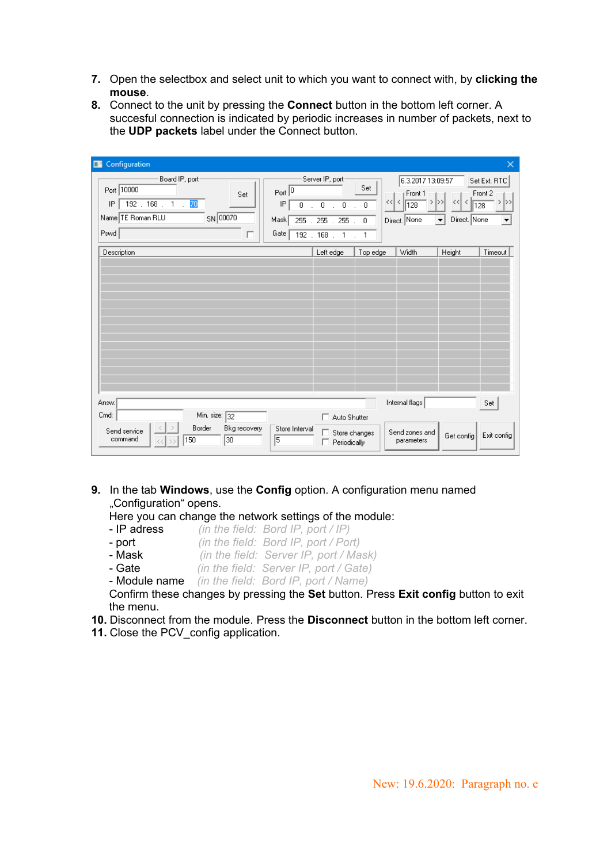- **7.** Open the selectbox and select unit to which you want to connect with, by **clicking the mouse**.
- **8.** Connect to the unit by pressing the **Connect** button in the bottom left corner. A succesful connection is indicated by periodic increases in number of packets, next to the **UDP packets** label under the Connect button.

| Configuration<br>$\blacksquare$                                                                              | ×                                                                                                                                                                                                                                                                                                                                                                                                                                                            |
|--------------------------------------------------------------------------------------------------------------|--------------------------------------------------------------------------------------------------------------------------------------------------------------------------------------------------------------------------------------------------------------------------------------------------------------------------------------------------------------------------------------------------------------------------------------------------------------|
| Board IP, port-<br>Port 10000<br>Set<br>IP<br>192.168.<br>70<br>1<br>SN 00070<br>Name   TE Roman RLU<br>Pswd | Server IP, port-<br>6.3.2017 13:09:57<br>Set Ext. RTC<br>Set<br>$Port$ 0<br>Front 1<br>Front 2<br>$\le$ $\le$<br>$>$ $\gg$ $\gg$<br>$\langle$<br>$>$ $>>$<br><<<br>IP<br>128<br>$\sqrt{128}$<br>$\cdot$ 0<br>$\overline{0}$<br>0<br>$\mathbf 0$<br>$\mathcal{L}$<br>$\overline{a}$<br>Direct. None<br>Direct. None<br>Mask <br>255 . 255<br>.255<br>$\mathbf 0$<br>$\blacktriangledown$<br>▼<br>Gate<br>$168$ .<br>$192$ .<br>$\mathbf{1}$<br>$\overline{1}$ |
| Description                                                                                                  | Width<br>Height<br>Timeout<br>Left edge<br>Top edge                                                                                                                                                                                                                                                                                                                                                                                                          |
| Answ:<br>Min. size: 32<br>Cmd:<br>Border<br>Bkg recovery<br>Send service<br>30<br>command<br>150             | Internal flags<br>Set<br>$\Box$ Auto Shutter<br>Store Interval<br>Send zones and<br>Store changes<br>Exit config<br>Get config<br>15<br>parameters<br>Periodically                                                                                                                                                                                                                                                                                           |

**9.** In the tab **Windows**, use the **Config** option. A configuration menu named "Configuration" opens.

Here you can change the network settings of the module:

- IP adress *(in the field: Bord IP, port / IP)*
- port *(in the field: Bord IP, port / Port)*
- Mask *(in the field: Server IP, port / Mask)* - Gate *(in the field: Server IP, port / Gate)*
- 
- Module name *(in the field: Bord IP, port / Name)*

Confirm these changes by pressing the **Set** button. Press **Exit config** button to exit the menu.

- **10.** Disconnect from the module. Press the **Disconnect** button in the bottom left corner.
- 11. Close the PCV config application.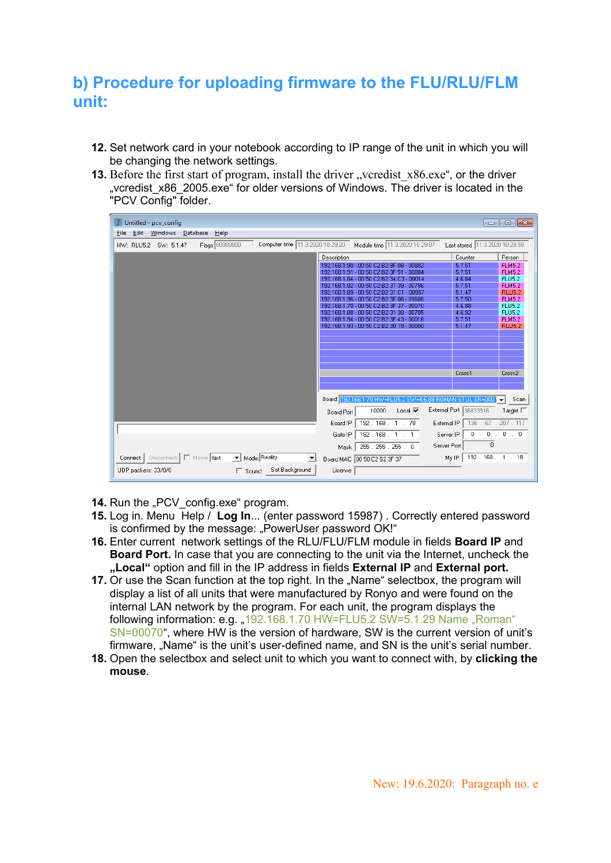# **b) Procedure for uploading firmware to the FLU/RLU/FLM unit:**

- **12.** Set network card in your notebook according to IP range of the unit in which you will be changing the network settings.
- **13.** Before the first start of program, install the driver . vcredist  $x86$  exe", or the driver "vcredist\_x86\_2005.exe" for older versions of Windows. The driver is located in the "PCV Config" folder.

| Untitled - pcv_config                                                           |                                                                                      | $\begin{array}{c c c c c c} \hline \multicolumn{3}{c }{\mathbf{C}} & \multicolumn{3}{c }{\mathbf{C}} & \multicolumn{3}{c }{\mathbf{X}} \end{array}$ |
|---------------------------------------------------------------------------------|--------------------------------------------------------------------------------------|-----------------------------------------------------------------------------------------------------------------------------------------------------|
| Edit Windows Database Help<br>File                                              |                                                                                      |                                                                                                                                                     |
| Flags 00000000<br>Computer time 11.3.2020 10:29:20<br>HW: RLU5.2 SW: 5.1.47     | Module time 11.3.2020 10:29:07                                                       | Last stored   11.3.2020 10:28:59                                                                                                                    |
|                                                                                 | Description                                                                          | Counter<br>Person                                                                                                                                   |
|                                                                                 | 192.168.1.90 - 00 50 C2 B2 8F 08 - 00882                                             | 5.7.51<br><b>FLM5.2</b>                                                                                                                             |
|                                                                                 | 192.168.1.91 - 00 50 C2 B2 3F 51 - 00884                                             | 5.7.51<br><b>FLM5.2</b>                                                                                                                             |
|                                                                                 | 192.168.1.84 - 00 50 C2 B2 34 C3 - 00014                                             | 4.6.84<br><b>FLU5.2</b>                                                                                                                             |
|                                                                                 | 192.168.1.92 - 00 50 C2 B2 31 39 - 00786                                             | 5.7.51<br><b>FLM5.2</b>                                                                                                                             |
|                                                                                 | 192.168.1.89 - 00 50 C2 B2 31 C1 - 00957                                             | <b>RLU5.2</b><br>5.1.47                                                                                                                             |
|                                                                                 | 192.168.1.96 - 00 50 C2 B2 3F 06 - 01686<br>192.168.1.70 - 00 50 C2 B2 3F 37 - 00070 | 5.7.50<br><b>FLM5.2</b><br>4.6.88<br><b>FLU5.2</b>                                                                                                  |
|                                                                                 | 192.168.1.88 - 00 50 C2 B2 31 38 - 00785                                             | <b>FLU5.2</b><br>4.6.92                                                                                                                             |
|                                                                                 | 192.168.1.94 - 00 50 C2 B2 3F 43 - 00016                                             | 5.7.51<br><b>FLM5.2</b>                                                                                                                             |
|                                                                                 | 192.168.1.93 - 00 50 C2 B2 30 19 - 00000                                             | 5.1.47<br><b>RLU5.2</b>                                                                                                                             |
|                                                                                 |                                                                                      |                                                                                                                                                     |
|                                                                                 |                                                                                      |                                                                                                                                                     |
|                                                                                 |                                                                                      |                                                                                                                                                     |
|                                                                                 |                                                                                      |                                                                                                                                                     |
|                                                                                 |                                                                                      |                                                                                                                                                     |
|                                                                                 |                                                                                      | Cross1<br>Cross2                                                                                                                                    |
|                                                                                 |                                                                                      |                                                                                                                                                     |
|                                                                                 |                                                                                      |                                                                                                                                                     |
|                                                                                 | Board  192.168.1.70 HW=FLU5.2 SW=4.6.88 ROMAN STUL SN=000   -                        | Scan                                                                                                                                                |
|                                                                                 | 10000<br>Local $\overline{\mathbf{v}}$<br><b>Board Port</b>                          | External Port 36833516<br>Target $\square$                                                                                                          |
|                                                                                 | 192.168.1.70<br>Board IP<br>External IP                                              | 136. 67. 207. 117                                                                                                                                   |
|                                                                                 | 192.168.1.1<br>Server IP<br>Gate IP                                                  | $0$ . $0$<br>$\sim$                                                                                                                                 |
|                                                                                 | Server Port<br>255 . 255 . 255 . 0<br>Mask                                           | 0                                                                                                                                                   |
| Disconnect   I Movie   fast<br>Mode: Reality<br>Connect<br>$\blacktriangledown$ | My IP<br>Board MAC 00 50 C2 B2 3F 37                                                 | 192.168.1.18                                                                                                                                        |
| Set Background<br>UDP packets: 33/0/0<br>$\Box$ Sound                           | License                                                                              |                                                                                                                                                     |

- **14.** Run the "PCV config.exe" program.
- **15.** Log in. Menu Help / **Log In**... (enter password 15987) . Correctly entered password is confirmed by the message: "PowerUser password OK!"
- **16.** Enter current network settings of the RLU/FLU/FLM module in fields **Board IP** and **Board Port.** In case that you are connecting to the unit via the Internet, uncheck the **"Local"** option and fill in the IP address in fields **External IP** and **External port.**
- **17.** Or use the Scan function at the top right. In the "Name" selectbox, the program will display a list of all units that were manufactured by Ronyo and were found on the internal LAN network by the program. For each unit, the program displays the following information: e.g.,  $192.168.1.70$  HW=FLU5.2 SW=5.1.29 Name, Roman" SN=00070", where HW is the version of hardware, SW is the current version of unit's firmware, "Name" is the unit's user-defined name, and SN is the unit's serial number.
- **18.** Open the selectbox and select unit to which you want to connect with, by **clicking the mouse**.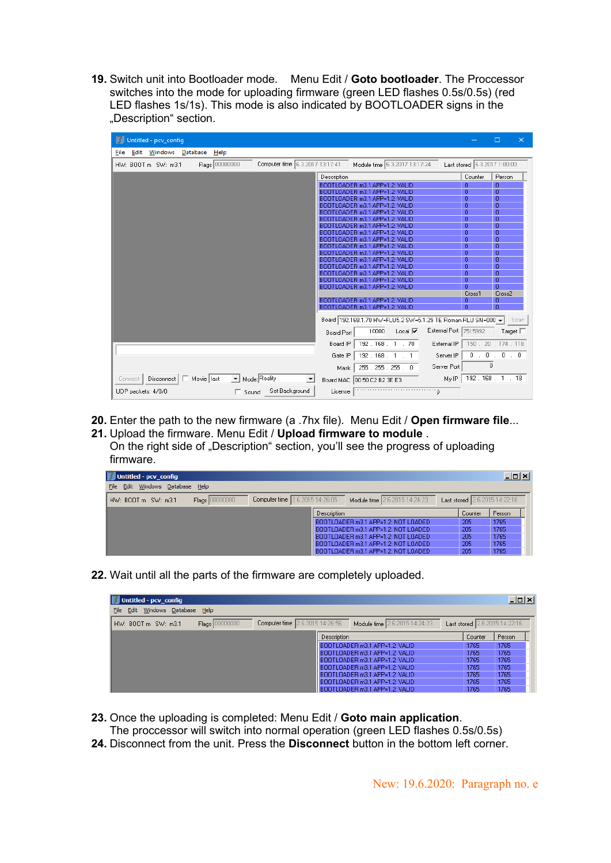**19.** Switch unit into Bootloader mode. Menu Edit / **Goto bootloader**. The Proccessor switches into the mode for uploading firmware (green LED flashes 0.5s/0.5s) (red LED flashes 1s/1s). This mode is also indicated by BOOTLOADER signs in the "Description" section.

| Untitled - pcv_config                               |                                 |             |                                                                       |                       |                              | $\times$<br>$\Box$ |
|-----------------------------------------------------|---------------------------------|-------------|-----------------------------------------------------------------------|-----------------------|------------------------------|--------------------|
| File Edit Windows Database Help                     |                                 |             |                                                                       |                       |                              |                    |
| Flags 00000000<br>HW: BOOT m SW: m3.1               | Computer time 6.3.2017 13:17:41 |             | Module time 6.3.2017 13:17:24                                         |                       | Last stored 6.3.2017 1:00:00 |                    |
|                                                     |                                 | Description |                                                                       |                       | Counter                      | Person             |
|                                                     |                                 |             | BOOTLOADER m3.1 APP=1.2: VALID                                        |                       | o                            | $\overline{0}$     |
|                                                     |                                 |             | BOOTLOADER m3.1 APP=1.2: VALID                                        |                       | $\overline{0}$               | $\Omega$           |
|                                                     |                                 |             | BOOTLOADER m3.1 APP=1.2: VALID                                        |                       | n                            | $\overline{0}$     |
|                                                     |                                 |             | BOOTLOADER m3.1 APP=1.2: VALID                                        |                       | $\overline{0}$               | $\overline{0}$     |
|                                                     |                                 |             | BOOTLOADER m3.1 APP=1.2: VALID                                        |                       | $\overline{0}$               | $\overline{0}$     |
|                                                     |                                 |             | BOOTLOADER m3.1 APP=1.2: VALID                                        |                       | n                            | $\overline{0}$     |
|                                                     |                                 |             | BOOTLOADER m3.1 APP=1.2: VALID                                        |                       | 0                            | $\Omega$           |
|                                                     |                                 |             | BOOTLOADER m3.1 APP=1.2: VALID                                        |                       | n                            | $\Omega$           |
|                                                     |                                 |             | BOOTLOADER m3.1 APP=1.2: VALID                                        |                       | o                            | $\Omega$           |
|                                                     |                                 |             | BOOTLOADER m3.1 APP=1.2: VALID                                        |                       | $\overline{0}$               | $\Omega$           |
|                                                     |                                 |             | BOOTLOADER m3.1 APP=1.2: VALID                                        |                       | $\overline{0}$               | $\overline{0}$     |
|                                                     |                                 |             | BOOTLOADER m3.1 APP=1.2: VALID                                        |                       | $\overline{0}$               | $\Omega$           |
|                                                     |                                 |             | BOOTLOADER m3.1 APP=1.2: VALID                                        |                       | $\overline{0}$               | 0                  |
|                                                     |                                 |             | BOOTLOADER m3.1 APP=1.2: VALID                                        |                       | n                            | $\Omega$           |
|                                                     |                                 |             | BOOTLOADER m3.1 APP=1.2: VALID                                        |                       | 0<br>n                       | $\Omega$<br>n      |
|                                                     |                                 |             | BOOTLOADER m3.1 APP=1.2: VALID                                        |                       | Cross1                       | Cross2             |
|                                                     |                                 |             | BOOTLOADER m3.1 APP=1.2: VALID                                        |                       | ٥                            | 0                  |
|                                                     |                                 |             | BOOTLOADER m3.1 APP=1.2: VALID                                        |                       | n                            | n                  |
|                                                     |                                 |             |                                                                       |                       |                              |                    |
|                                                     |                                 |             | Board   192.168.1.70 HW=FLU5.2 SW=5.1.29 TE Roman RLU SN=000     Scan |                       |                              |                    |
|                                                     |                                 | Board Port  | 10000<br>Local $\overline{\blacktriangledown}$                        | External Port 7515992 |                              | Target $\square$   |
|                                                     |                                 | Board IP    | 192.168.1.70                                                          | External IP           |                              | 150. 20. 174. 118  |
|                                                     |                                 | Gate IP     | 192.168.1.1                                                           | Server IP             |                              | 0.0.0.0.0          |
|                                                     |                                 | Mask I      | 255.255.255.0                                                         | Server Port           |                              | $\Omega$           |
| Mode: Reality<br>Disconnect   Movie fast<br>Connect |                                 |             | Board MAC 00 50 C2 B2 3E E3                                           | My IP                 |                              | 192.168.1.18       |
| Sound Set Background<br>UDP packets: 4/0/0          |                                 | License     |                                                                       |                       |                              |                    |

- **20.** Enter the path to the new firmware (a .7hx file). Menu Edit / **Open firmware file**...
- **21.** Upload the firmware. Menu Edit / **Upload firmware to module** . On the right side of "Description" section, you'll see the progress of uploading firmware.

| Untitled - pcv_config                   |                                                                         |                               | $\Box$ |
|-----------------------------------------|-------------------------------------------------------------------------|-------------------------------|--------|
| Windows Database Help<br>File<br>Edit   |                                                                         |                               |        |
| 0000000<br>HW: BOOT m SW: m3.1<br>Flags | <b>Computer time</b> 2.6.2015 14:26:05<br>Module time 2.6.2015 14:24:23 | Last stored 2.6,2015 14:22:16 |        |
|                                         | <b>Description</b>                                                      | Counter                       | Person |
|                                         | BOOTLOADER m3.1 APP=1.2: NOT LOADED                                     | 205                           | 1765   |
|                                         | BOOTLOADER m3.1 APP=1.2: NOT LOADED                                     | 205                           | 1765   |
|                                         | BOOTLOADER m3.1 APP=1.2: NOT LOADED                                     | 205                           | 1765   |
|                                         | BOOTLOADER m3.1 APP=1.2: NOT LOADED.                                    | 205                           | 1765   |
|                                         | BOOTLOADER m3.1 APP=1.2: NOT LOADED                                     | 205                           | 1765   |

**22.** Wait until all the parts of the firmware are completely uploaded.

| Untitled - pcv_config                                                                    |                                |         | $\Box$ o $\boxtimes$          |
|------------------------------------------------------------------------------------------|--------------------------------|---------|-------------------------------|
| Windows Database Help<br>Edit<br>File                                                    |                                |         |                               |
| Computer time 2.6.2015 14:26:56<br>00000000<br>HW: BOOT m SW: m3.1<br>Flags <sup>1</sup> | Module time 2.6.2015 14:24:23  |         | Last stored 2.6.2015 14:22:16 |
|                                                                                          | <b>Description</b>             | Counter | Person                        |
|                                                                                          | BOOTLOADER m3.1 APP=1.2: VALID | 1765    | 1765                          |
|                                                                                          | BOOTLOADER m3.1 APP=1.2: VALID | 1765    | 1765                          |
|                                                                                          | BOOTLOADER m3.1 APP=1.2: VALID | 1765    | 1765                          |
|                                                                                          | BOOTLOADER m3.1 APP=1.2: VALID | 1765    | 1765                          |
|                                                                                          | BOOTLOADER m3.1 APP=1.2: VALID | 1765    | 1765                          |
|                                                                                          | BOOTLOADER m3.1 APP=1.2: VALID | 1765    | 1765                          |
|                                                                                          | BOOTLOADER m3.1 APP=1.2: VALID | 1765    | 1765                          |

- **23.** Once the uploading is completed: Menu Edit / **Goto main application**.
- The proccessor will switch into normal operation (green LED flashes 0.5s/0.5s)
- **24.** Disconnect from the unit. Press the **Disconnect** button in the bottom left corner.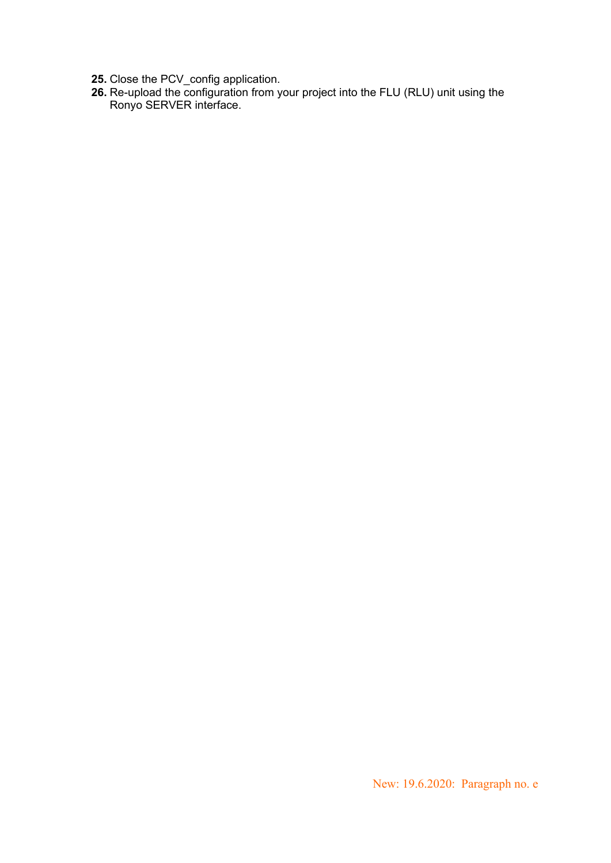- **25.** Close the PCV\_config application.
- **26.** Re-upload the configuration from your project into the FLU (RLU) unit using the Ronyo SERVER interface.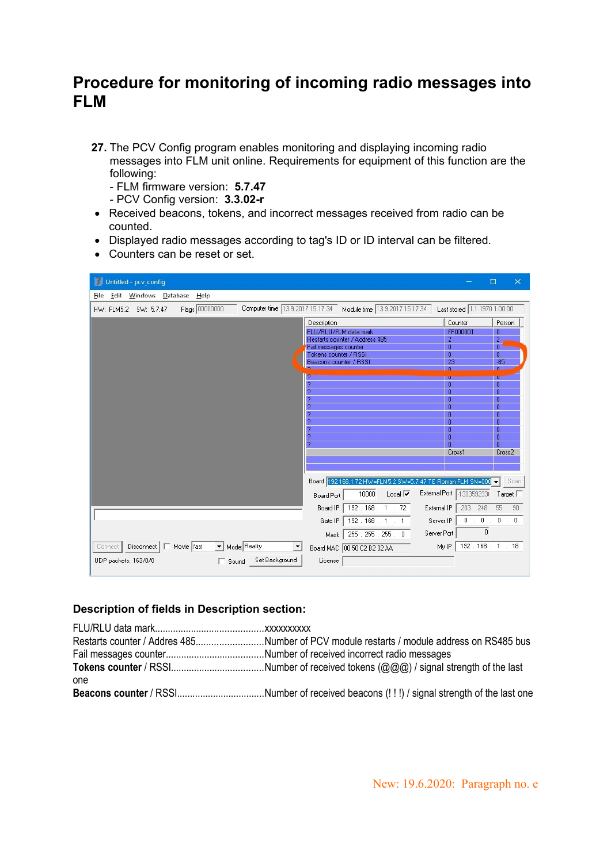### **Procedure for monitoring of incoming radio messages into FLM**

- **27.** The PCV Config program enables monitoring and displaying incoming radio messages into FLM unit online. Requirements for equipment of this function are the following:
	- FLM firmware version: **5.7.47**
	- PCV Config version: **3.3.02-r**
- Received beacons, tokens, and incorrect messages received from radio can be counted.
- Displayed radio messages according to tag's ID or ID interval can be filtered.
- Counters can be reset or set.

| Untitled - pcv_config<br>и                                                                                                       |                              | $\Box$<br>$\times$                                         |
|----------------------------------------------------------------------------------------------------------------------------------|------------------------------|------------------------------------------------------------|
| File Edit Windows Database Help                                                                                                  |                              |                                                            |
| Computer time 13.9.2017 15:17:34<br>Flags 00000000<br>Module time 13.9.2017 15:17:34<br>HW: FLM5.2 SW: 5.7.47                    | Last stored 1.1.1970 1:00:00 |                                                            |
| Description                                                                                                                      | Counter                      | Person                                                     |
| FLU/RLU/FLM data mark                                                                                                            | FF000001                     | 0                                                          |
| Restarts counter / Address 485                                                                                                   | $\overline{c}$               | $\overline{a}$                                             |
| Fail messages counter                                                                                                            | $\overline{0}$               | $\overline{0}$                                             |
| Tokens counter / RSSI                                                                                                            | $\Omega$                     | $\mathbf{0}$                                               |
| Beacons counter / RSSI                                                                                                           | 23<br>n                      | $-85$<br>Ω.                                                |
|                                                                                                                                  | Ü                            | υ                                                          |
|                                                                                                                                  | $\bf{0}$                     | $\mathbf{0}$                                               |
|                                                                                                                                  | $\overline{0}$               | 0                                                          |
|                                                                                                                                  | 0                            | $\bf{0}$                                                   |
|                                                                                                                                  | 0                            | $\overline{0}$                                             |
|                                                                                                                                  | 0<br>$\overline{0}$          | $\overline{0}$<br>$\overline{0}$                           |
|                                                                                                                                  | $\overline{0}$               | $\mathbf{0}$                                               |
|                                                                                                                                  | $\overline{0}$               | $\Omega$                                                   |
|                                                                                                                                  | $\overline{\mathbf{n}}$      | $\overline{0}$                                             |
|                                                                                                                                  | Cross1                       | Cross2                                                     |
|                                                                                                                                  |                              |                                                            |
|                                                                                                                                  |                              |                                                            |
| Board  192.168.1.72 HW=FLM5.2 SW=5.7.47 TE Roman FLM SN=000                                                                      |                              | Scan<br>$\overline{\phantom{a}}$                           |
| 10000<br>Local $\overline{\mathbf{v}}$<br><b>Board Port</b>                                                                      | External Port<br>-130359233  | Target $\Gamma$                                            |
| 192.168.1.72<br>Board IP                                                                                                         | External IP                  | 203.248.55.90                                              |
| 192.168.1.1<br>Gate IP                                                                                                           | $0 \t 0$<br>Server IP        | $\overline{0}$<br>$\cdot$ 0<br>$\mathcal{L}^{\mathcal{L}}$ |
| 255.255.255.0<br>Mask                                                                                                            | 0<br>Server Port             |                                                            |
| Movie fast<br>Mode: Reality<br>Disconnect<br>Connect<br>п<br>$\mathbf{v}$<br>$\blacktriangledown$<br>Board MAC 00 50 C2 B2 32 AA | My IP                        | 192.168.1.18                                               |
| Set Background<br>UDP packets: 163/0/0<br>License<br>$\Gamma$ Sound                                                              |                              |                                                            |

### **Description of fields in Description section:**

|     | Restarts counter / Addres 485Number of PCV module restarts / module address on RS485 bus |
|-----|------------------------------------------------------------------------------------------|
|     |                                                                                          |
|     |                                                                                          |
| one |                                                                                          |
|     |                                                                                          |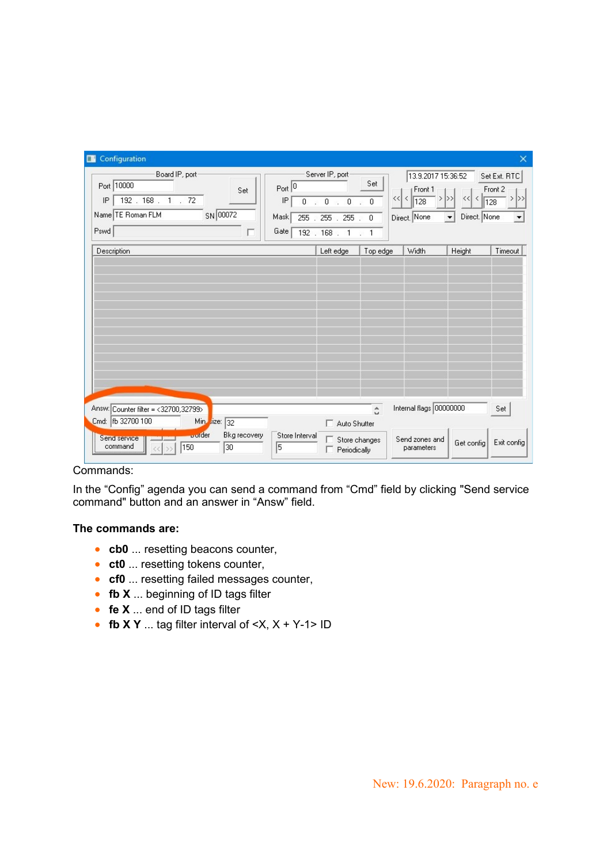| Board IP, port-<br>Port 10000<br>Set<br>192.168.<br>72<br>IP<br>1<br>$\mathcal{L}^{\mathcal{L}}$<br>Name TE Roman FLM<br>SN 00072<br>Pswd<br>г | Server IP, port-<br>Part 0<br>IP<br>$\,0\,$<br>$\,0\,$<br>0<br>×.<br>÷<br>Mask<br>255 . 255 . 255<br>Gate<br>192 . 168 . 1 | Set<br>$<<$ <<br>$\overline{0}$<br>$\mathbf 0$<br>$\cdot$ 1 | 13.9.2017 15:36:52<br>Front 1<br>$>$ $>$<br>128<br>Direct. None | $\,$ $\,$<br>$\ll$<br>128<br>Direct. None<br>$\blacktriangledown$ | Set Ext. RTC<br>Front 2<br>$>$ $>>$<br>$\blacktriangledown$ |
|------------------------------------------------------------------------------------------------------------------------------------------------|----------------------------------------------------------------------------------------------------------------------------|-------------------------------------------------------------|-----------------------------------------------------------------|-------------------------------------------------------------------|-------------------------------------------------------------|
| Description                                                                                                                                    | Left edge                                                                                                                  | Top edge                                                    | Width                                                           | Height                                                            | Timeout                                                     |
|                                                                                                                                                |                                                                                                                            |                                                             |                                                                 |                                                                   |                                                             |

### Commands:

In the "Config" agenda you can send a command from "Cmd" field by clicking "Send service command" button and an answer in "Answ" field.

#### **The commands are:**

- **cb0** ... resetting beacons counter,
- **ct0** ... resetting tokens counter,
- **cf0** ... resetting failed messages counter,
- **fb X** ... beginning of ID tags filter
- **fe X** ... end of ID tags filter
- **fb X Y** ... tag filter interval of  $\leq$ X, X + Y-1> ID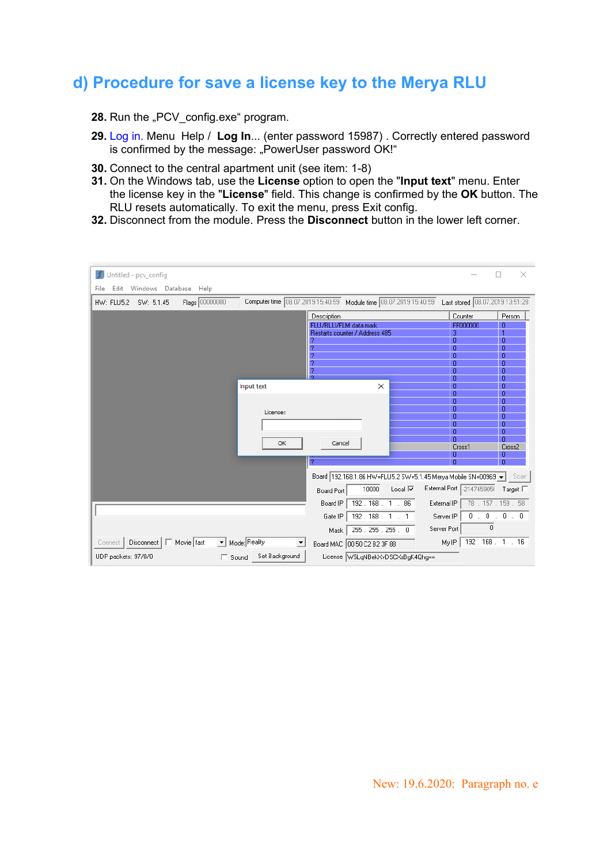# **d) Procedure for save a license key to the Merya RLU**

- 28. Run the "PCV\_config.exe" program.
- **29.** Log in. Menu Help / **Log In**... (enter password 15987) . Correctly entered password is confirmed by the message: "PowerUser password OK!"
- **30.** Connect to the central apartment unit (see item: 1-8)
- **31.** On the Windows tab, use the **License** option to open the "**Input text**" menu. Enter the license key in the "**License**" field. This change is confirmed by the **OK** button. The RLU resets automatically. To exit the menu, press Exit config.
- **32.** Disconnect from the module. Press the **Disconnect** button in the lower left corner.

| Untitled - pcv_config                    |                                |                                                                   |                                 | $\times$<br>п       |
|------------------------------------------|--------------------------------|-------------------------------------------------------------------|---------------------------------|---------------------|
| Windows Database Help<br>Edit<br>File    |                                |                                                                   |                                 |                     |
| Flags 00000000<br>HW: FLU5.2 SW: 5.1.45  |                                | Computer time 08.07.2019 15:40:59 Module time 08.07.2019 15:40:59 | Last stored 08.07.2019 13:51:28 |                     |
|                                          |                                |                                                                   |                                 |                     |
|                                          |                                | Description                                                       | Counter                         | Person              |
|                                          |                                | FLU/RLU/FLM data mark                                             | FF000000                        | $\overline{0}$      |
|                                          |                                | Restarts counter / Address 485                                    | 3<br>$\Omega$                   | 1<br>$\mathbf{0}$   |
|                                          |                                |                                                                   | $\bf{0}$                        | $\mathbf 0$         |
|                                          |                                |                                                                   | $\overline{0}$                  | $\overline{0}$      |
|                                          |                                | o                                                                 | $\mathbf{0}$                    | $\overline{0}$      |
|                                          |                                |                                                                   | $\overline{0}$                  | $\overline{0}$      |
|                                          |                                |                                                                   | 0                               | 0                   |
|                                          | Input text                     | X                                                                 | $\mathbf{0}$                    | 0                   |
|                                          |                                |                                                                   | $\theta$                        | $\overline{0}$      |
|                                          |                                |                                                                   | $\mathbf{0}$                    | $\mathbf{0}$        |
|                                          | License:                       |                                                                   | $\overline{0}$                  | $\overline{0}$      |
|                                          |                                |                                                                   | $\mathbf{0}$                    | $\overline{0}$      |
|                                          |                                |                                                                   | 0<br>$\overline{\Omega}$        | $\overline{0}$<br>0 |
|                                          |                                |                                                                   | $\Omega$                        | $\Omega$            |
|                                          | OK                             | Cancel                                                            | Cross1                          | Cross2              |
|                                          |                                |                                                                   | 0                               | 0                   |
|                                          |                                | 2                                                                 | $\overline{\mathsf{n}}$         | $\mathbf{0}$        |
|                                          |                                |                                                                   |                                 |                     |
|                                          |                                | Board 192.168.1.86 HW=FLU5.2 SW=5.1.45 Merya Mobile SN=00969 -    |                                 | Scan                |
|                                          |                                | 10000<br>Local $\overline{\triangledown}$<br>Board Port           | External Port -214745905        | Target $\Box$       |
|                                          |                                | 192.168.1.86<br>Board IP                                          | External IP                     | 78 . 157 . 159 . 58 |
|                                          |                                | 192.168.1.1<br>Gate IP                                            | $0$ .<br>Server IP              | 0.0.0               |
|                                          |                                | 255 . 255 . 255 . 0<br>Mask                                       | 0<br>Server Port                |                     |
| Movie fast<br>Disconnect<br>п<br>Connect | Mode: Reality                  | Board MAC 00 50 C2 B2 3F 88                                       | My IP                           | 192.168.1.16        |
| UDP packets: 97/0/0                      | Set Background<br>$\Box$ Sound | License W5LqNBekXvDSCXxBgK4Qhg==                                  |                                 |                     |